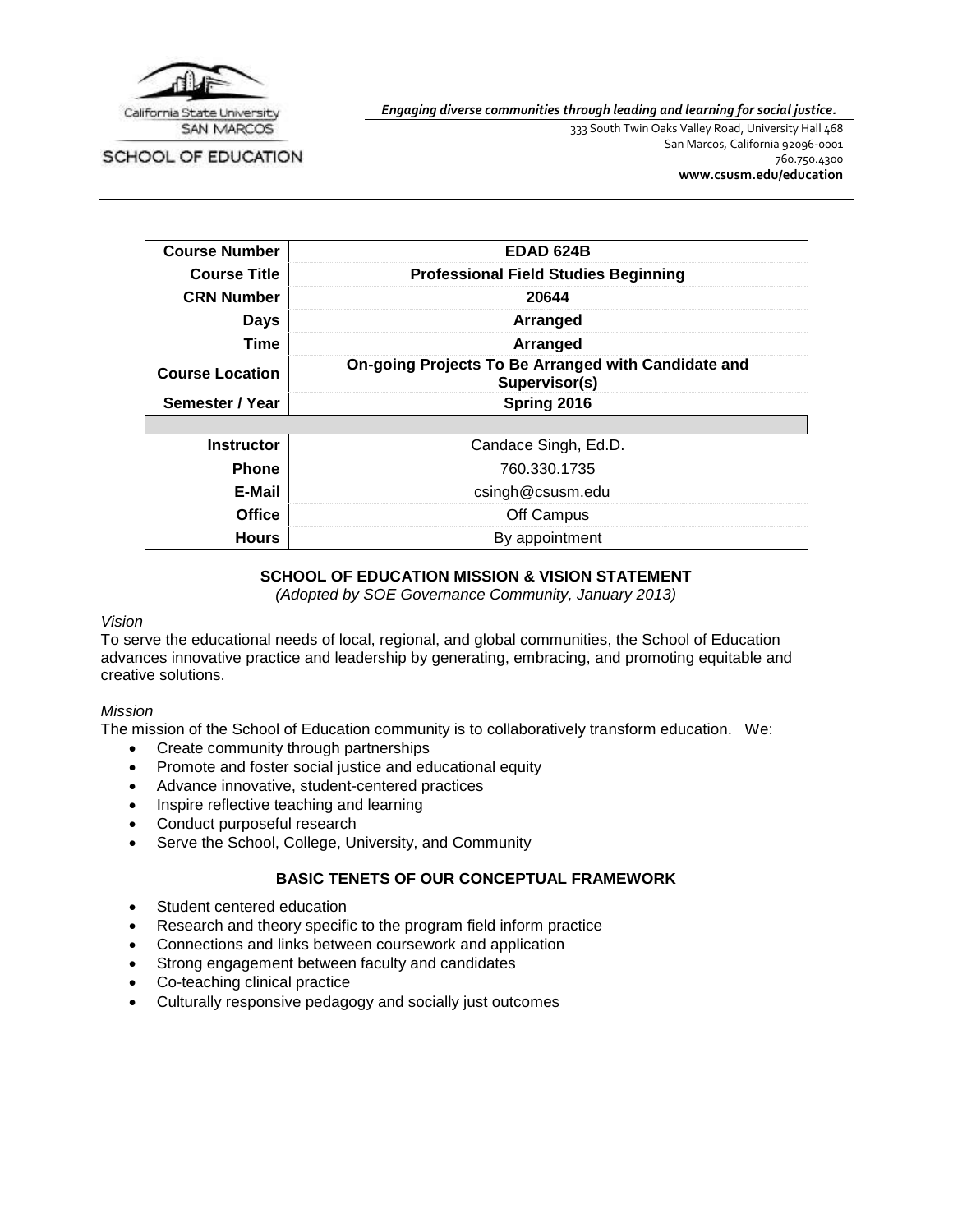

SCHOOL OF EDUCATION

*Engaging diverse communities through leading and learning for social justice.*

333 South Twin Oaks Valley Road, University Hall 468 San Marcos, California 92096-0001 760.750.4300 **[www.csusm.edu/education](http://www.csusm.edu/education)**

| <b>Course Number</b>   | <b>EDAD 624B</b>                                                     |
|------------------------|----------------------------------------------------------------------|
| <b>Course Title</b>    | <b>Professional Field Studies Beginning</b>                          |
| <b>CRN Number</b>      | 20644                                                                |
| Days                   | Arranged                                                             |
| Time                   | Arranged                                                             |
| <b>Course Location</b> | On-going Projects To Be Arranged with Candidate and<br>Supervisor(s) |
| Semester / Year        | Spring 2016                                                          |
|                        |                                                                      |
| <b>Instructor</b>      | Candace Singh, Ed.D.                                                 |
| <b>Phone</b>           | 760.330.1735                                                         |
| E-Mail                 | csingh@csusm.edu                                                     |
| <b>Office</b>          | Off Campus                                                           |
| <b>Hours</b>           | By appointment                                                       |

# **SCHOOL OF EDUCATION MISSION & VISION STATEMENT**

*(Adopted by SOE Governance Community, January 2013)*

### *Vision*

To serve the educational needs of local, regional, and global communities, the School of Education advances innovative practice and leadership by generating, embracing, and promoting equitable and creative solutions.

### *Mission*

The mission of the School of Education community is to collaboratively transform education. We:

- Create community through partnerships
- Promote and foster social justice and educational equity
- Advance innovative, student-centered practices
- Inspire reflective teaching and learning
- Conduct purposeful research
- Serve the School, College, University, and Community

# **BASIC TENETS OF OUR CONCEPTUAL FRAMEWORK**

- Student centered education
- Research and theory specific to the program field inform practice
- Connections and links between coursework and application
- Strong engagement between faculty and candidates
- Co-teaching clinical practice
- Culturally responsive pedagogy and socially just outcomes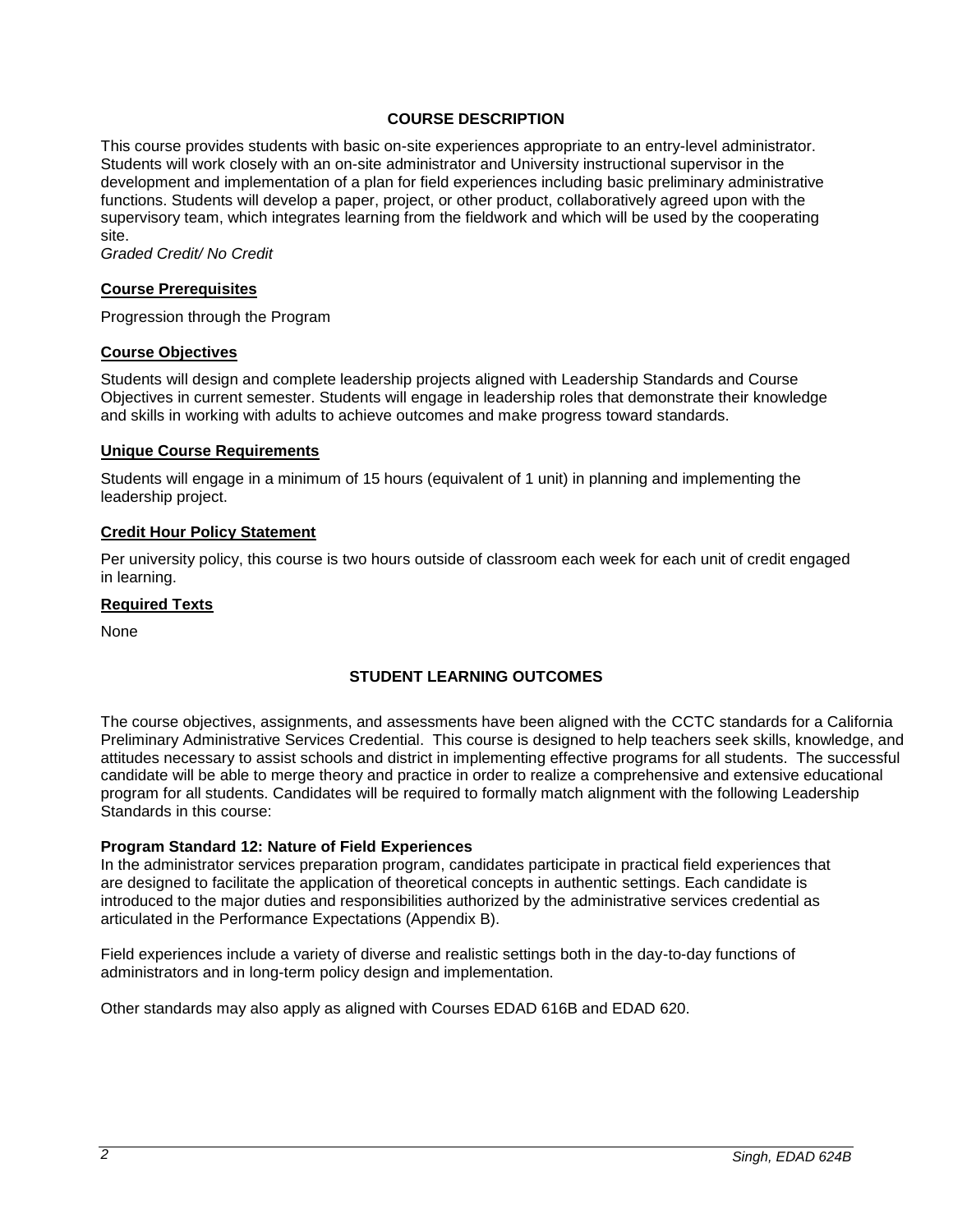### **COURSE DESCRIPTION**

This course provides students with basic on-site experiences appropriate to an entry-level administrator. Students will work closely with an on-site administrator and University instructional supervisor in the development and implementation of a plan for field experiences including basic preliminary administrative functions. Students will develop a paper, project, or other product, collaboratively agreed upon with the supervisory team, which integrates learning from the fieldwork and which will be used by the cooperating site.

*Graded Credit/ No Credit*

### **Course Prerequisites**

Progression through the Program

### **Course Objectives**

Students will design and complete leadership projects aligned with Leadership Standards and Course Objectives in current semester. Students will engage in leadership roles that demonstrate their knowledge and skills in working with adults to achieve outcomes and make progress toward standards.

#### **Unique Course Requirements**

Students will engage in a minimum of 15 hours (equivalent of 1 unit) in planning and implementing the leadership project.

### **Credit Hour Policy Statement**

Per university policy, this course is two hours outside of classroom each week for each unit of credit engaged in learning.

#### **Required Texts**

None

# **STUDENT LEARNING OUTCOMES**

The course objectives, assignments, and assessments have been aligned with the CCTC standards for a California Preliminary Administrative Services Credential. This course is designed to help teachers seek skills, knowledge, and attitudes necessary to assist schools and district in implementing effective programs for all students. The successful candidate will be able to merge theory and practice in order to realize a comprehensive and extensive educational program for all students. Candidates will be required to formally match alignment with the following Leadership Standards in this course:

### **Program Standard 12: Nature of Field Experiences**

In the administrator services preparation program, candidates participate in practical field experiences that are designed to facilitate the application of theoretical concepts in authentic settings. Each candidate is introduced to the major duties and responsibilities authorized by the administrative services credential as articulated in the Performance Expectations (Appendix B).

Field experiences include a variety of diverse and realistic settings both in the day-to-day functions of administrators and in long-term policy design and implementation.

Other standards may also apply as aligned with Courses EDAD 616B and EDAD 620.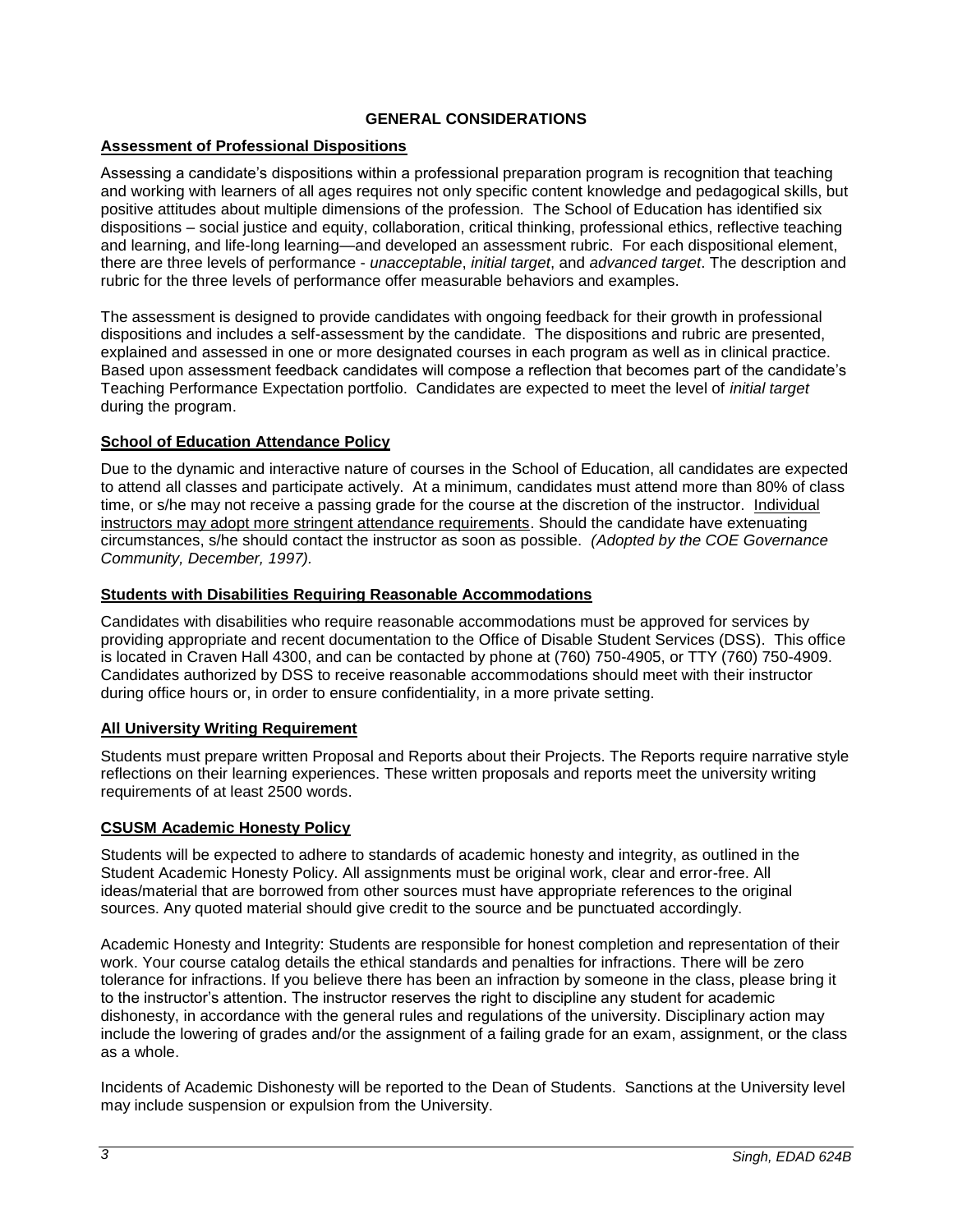# **GENERAL CONSIDERATIONS**

# **Assessment of Professional Dispositions**

Assessing a candidate's dispositions within a professional preparation program is recognition that teaching and working with learners of all ages requires not only specific content knowledge and pedagogical skills, but positive attitudes about multiple dimensions of the profession. The School of Education has identified six dispositions – social justice and equity, collaboration, critical thinking, professional ethics, reflective teaching and learning, and life-long learning—and developed an assessment rubric. For each dispositional element, there are three levels of performance - *unacceptable*, *initial target*, and *advanced target*. The description and rubric for the three levels of performance offer measurable behaviors and examples.

The assessment is designed to provide candidates with ongoing feedback for their growth in professional dispositions and includes a self-assessment by the candidate. The dispositions and rubric are presented, explained and assessed in one or more designated courses in each program as well as in clinical practice. Based upon assessment feedback candidates will compose a reflection that becomes part of the candidate's Teaching Performance Expectation portfolio. Candidates are expected to meet the level of *initial target* during the program.

# **School of Education Attendance Policy**

Due to the dynamic and interactive nature of courses in the School of Education, all candidates are expected to attend all classes and participate actively. At a minimum, candidates must attend more than 80% of class time, or s/he may not receive a passing grade for the course at the discretion of the instructor. Individual instructors may adopt more stringent attendance requirements. Should the candidate have extenuating circumstances, s/he should contact the instructor as soon as possible. *(Adopted by the COE Governance Community, December, 1997).*

# **Students with Disabilities Requiring Reasonable Accommodations**

Candidates with disabilities who require reasonable accommodations must be approved for services by providing appropriate and recent documentation to the Office of Disable Student Services (DSS). This office is located in Craven Hall 4300, and can be contacted by phone at (760) 750-4905, or TTY (760) 750-4909. Candidates authorized by DSS to receive reasonable accommodations should meet with their instructor during office hours or, in order to ensure confidentiality, in a more private setting.

# **All University Writing Requirement**

Students must prepare written Proposal and Reports about their Projects. The Reports require narrative style reflections on their learning experiences. These written proposals and reports meet the university writing requirements of at least 2500 words.

# **CSUSM Academic Honesty Policy**

Students will be expected to adhere to standards of academic honesty and integrity, as outlined in the Student Academic Honesty Policy. All assignments must be original work, clear and error-free. All ideas/material that are borrowed from other sources must have appropriate references to the original sources. Any quoted material should give credit to the source and be punctuated accordingly.

Academic Honesty and Integrity: Students are responsible for honest completion and representation of their work. Your course catalog details the ethical standards and penalties for infractions. There will be zero tolerance for infractions. If you believe there has been an infraction by someone in the class, please bring it to the instructor's attention. The instructor reserves the right to discipline any student for academic dishonesty, in accordance with the general rules and regulations of the university. Disciplinary action may include the lowering of grades and/or the assignment of a failing grade for an exam, assignment, or the class as a whole.

Incidents of Academic Dishonesty will be reported to the Dean of Students. Sanctions at the University level may include suspension or expulsion from the University.